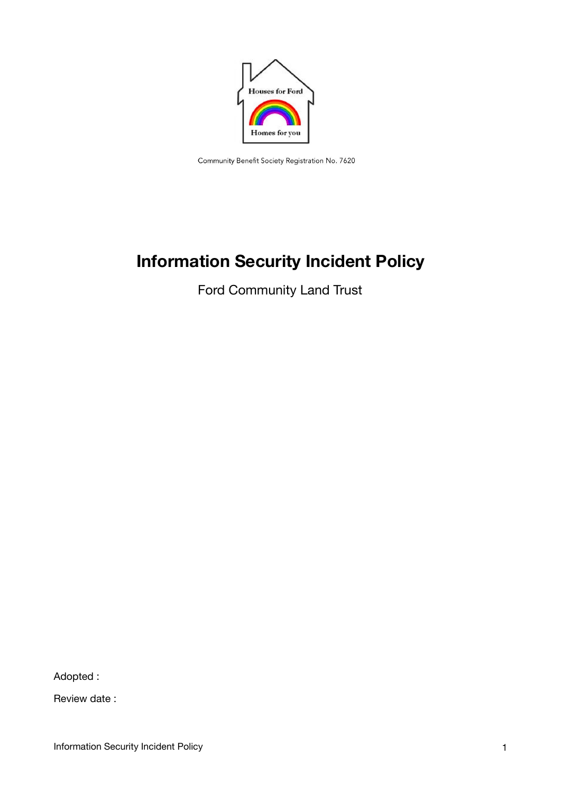

Community Benefit Society Registration No. 7620

# **Information Security Incident Policy**

Ford Community Land Trust

Adopted :

Review date :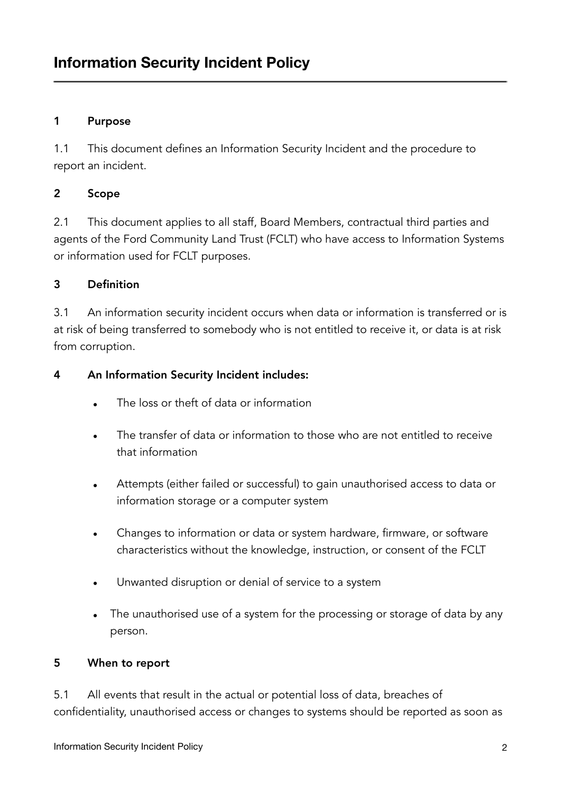#### 1 Purpose

1.1 This document defines an Information Security Incident and the procedure to report an incident.

#### 2 Scope

2.1 This document applies to all staff, Board Members, contractual third parties and agents of the Ford Community Land Trust (FCLT) who have access to Information Systems or information used for FCLT purposes.

#### 3 Definition

3.1 An information security incident occurs when data or information is transferred or is at risk of being transferred to somebody who is not entitled to receive it, or data is at risk from corruption.

#### 4 An Information Security Incident includes:

- **•** The loss or theft of data or information
- **•** The transfer of data or information to those who are not entitled to receive that information
- **•** Attempts (either failed or successful) to gain unauthorised access to data or information storage or a computer system
- **•** Changes to information or data or system hardware, firmware, or software characteristics without the knowledge, instruction, or consent of the FCLT
- **•** Unwanted disruption or denial of service to a system
- **•** The unauthorised use of a system for the processing or storage of data by any person.

#### 5 When to report

5.1 All events that result in the actual or potential loss of data, breaches of confidentiality, unauthorised access or changes to systems should be reported as soon as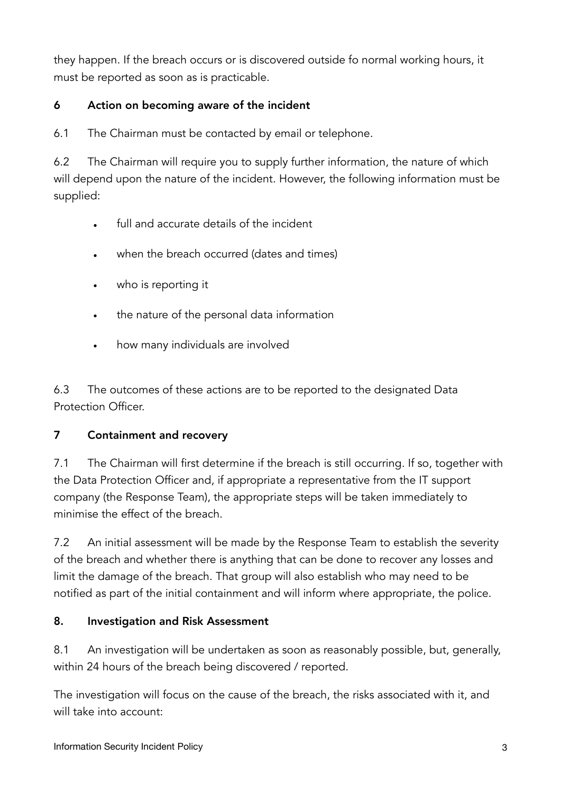they happen. If the breach occurs or is discovered outside fo normal working hours, it must be reported as soon as is practicable.

## 6 Action on becoming aware of the incident

6.1 The Chairman must be contacted by email or telephone.

6.2 The Chairman will require you to supply further information, the nature of which will depend upon the nature of the incident. However, the following information must be supplied:

- full and accurate details of the incident
- when the breach occurred (dates and times)
- who is reporting it
- the nature of the personal data information
- how many individuals are involved

6.3 The outcomes of these actions are to be reported to the designated Data Protection Officer.

## 7 Containment and recovery

7.1 The Chairman will first determine if the breach is still occurring. If so, together with the Data Protection Officer and, if appropriate a representative from the IT support company (the Response Team), the appropriate steps will be taken immediately to minimise the effect of the breach.

7.2 An initial assessment will be made by the Response Team to establish the severity of the breach and whether there is anything that can be done to recover any losses and limit the damage of the breach. That group will also establish who may need to be notified as part of the initial containment and will inform where appropriate, the police.

## 8. Investigation and Risk Assessment

8.1 An investigation will be undertaken as soon as reasonably possible, but, generally, within 24 hours of the breach being discovered / reported.

The investigation will focus on the cause of the breach, the risks associated with it, and will take into account: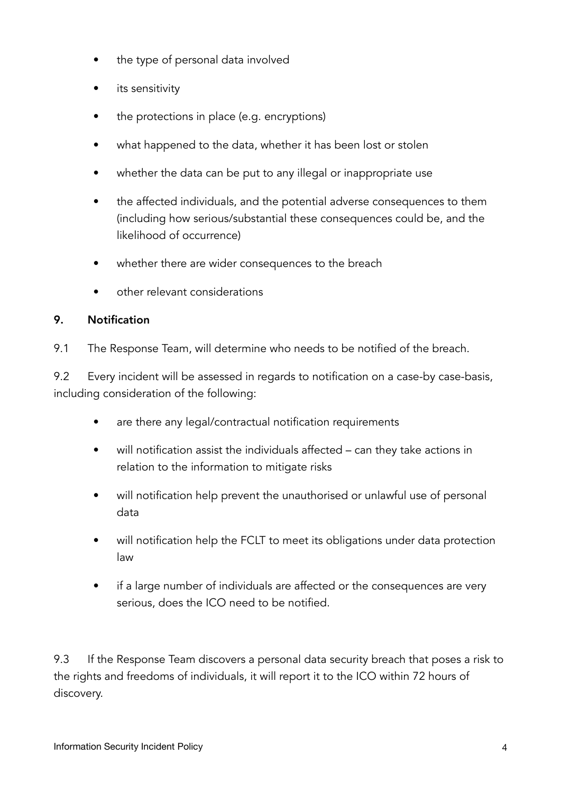- the type of personal data involved
- its sensitivity
- the protections in place (e.g. encryptions)
- what happened to the data, whether it has been lost or stolen
- whether the data can be put to any illegal or inappropriate use
- the affected individuals, and the potential adverse consequences to them (including how serious/substantial these consequences could be, and the likelihood of occurrence)
- whether there are wider consequences to the breach
- other relevant considerations

#### 9. Notification

9.1 The Response Team, will determine who needs to be notified of the breach.

9.2 Every incident will be assessed in regards to notification on a case-by case-basis, including consideration of the following:

- are there any legal/contractual notification requirements
- will notification assist the individuals affected can they take actions in relation to the information to mitigate risks
- will notification help prevent the unauthorised or unlawful use of personal data
- will notification help the FCLT to meet its obligations under data protection law
- if a large number of individuals are affected or the consequences are very serious, does the ICO need to be notified.

9.3 If the Response Team discovers a personal data security breach that poses a risk to the rights and freedoms of individuals, it will report it to the ICO within 72 hours of discovery.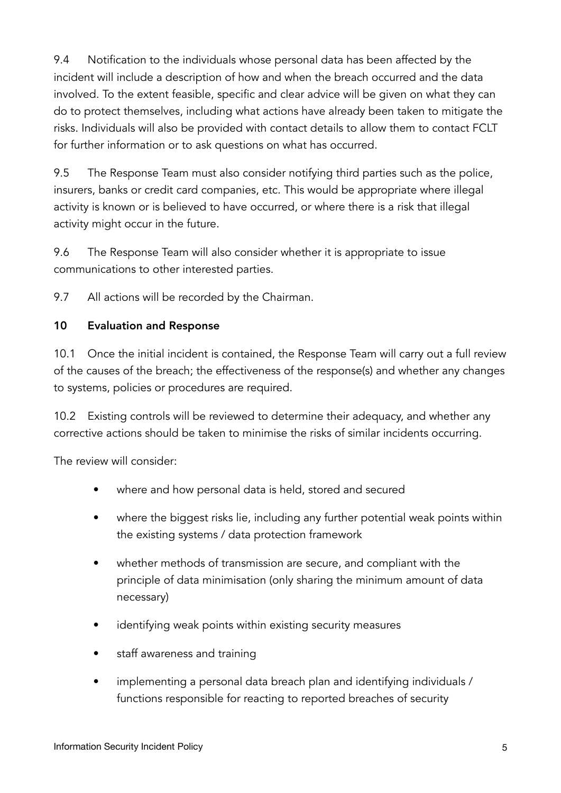9.4 Notification to the individuals whose personal data has been affected by the incident will include a description of how and when the breach occurred and the data involved. To the extent feasible, specific and clear advice will be given on what they can do to protect themselves, including what actions have already been taken to mitigate the risks. Individuals will also be provided with contact details to allow them to contact FCLT for further information or to ask questions on what has occurred.

9.5 The Response Team must also consider notifying third parties such as the police, insurers, banks or credit card companies, etc. This would be appropriate where illegal activity is known or is believed to have occurred, or where there is a risk that illegal activity might occur in the future.

9.6 The Response Team will also consider whether it is appropriate to issue communications to other interested parties.

9.7 All actions will be recorded by the Chairman.

#### 10 Evaluation and Response

10.1 Once the initial incident is contained, the Response Team will carry out a full review of the causes of the breach; the effectiveness of the response(s) and whether any changes to systems, policies or procedures are required.

10.2 Existing controls will be reviewed to determine their adequacy, and whether any corrective actions should be taken to minimise the risks of similar incidents occurring.

The review will consider:

- where and how personal data is held, stored and secured
- where the biggest risks lie, including any further potential weak points within the existing systems / data protection framework
- whether methods of transmission are secure, and compliant with the principle of data minimisation (only sharing the minimum amount of data necessary)
- identifying weak points within existing security measures
- staff awareness and training
- implementing a personal data breach plan and identifying individuals / functions responsible for reacting to reported breaches of security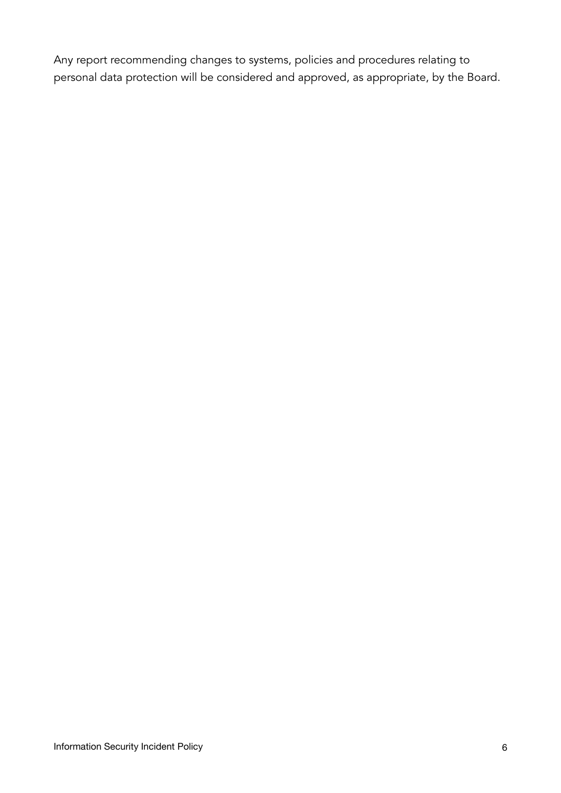Any report recommending changes to systems, policies and procedures relating to personal data protection will be considered and approved, as appropriate, by the Board.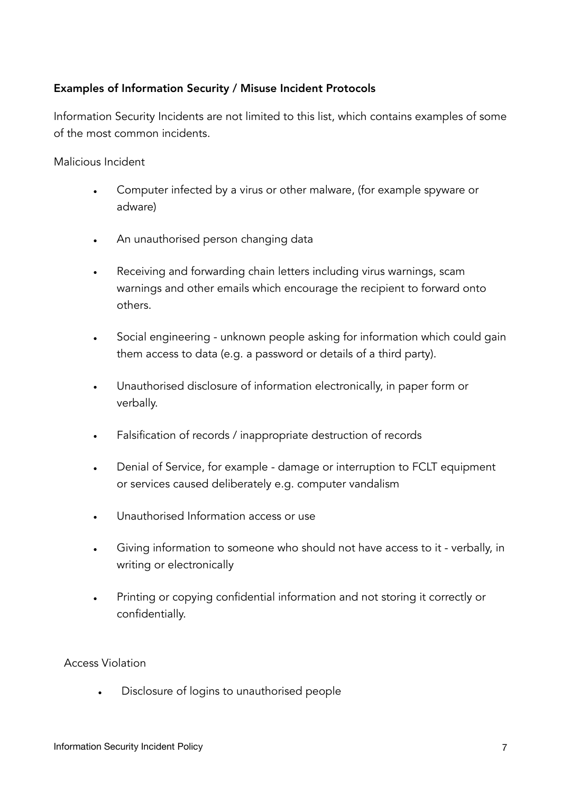#### Examples of Information Security / Misuse Incident Protocols

Information Security Incidents are not limited to this list, which contains examples of some of the most common incidents.

Malicious Incident

- Computer infected by a virus or other malware, (for example spyware or adware)
- An unauthorised person changing data
- Receiving and forwarding chain letters including virus warnings, scam warnings and other emails which encourage the recipient to forward onto others.
- Social engineering unknown people asking for information which could gain them access to data (e.g. a password or details of a third party).
- Unauthorised disclosure of information electronically, in paper form or verbally.
- Falsification of records / inappropriate destruction of records
- Denial of Service, for example damage or interruption to FCLT equipment or services caused deliberately e.g. computer vandalism
- Unauthorised Information access or use
- Giving information to someone who should not have access to it verbally, in writing or electronically
- Printing or copying confidential information and not storing it correctly or confidentially.

#### Access Violation

• Disclosure of logins to unauthorised people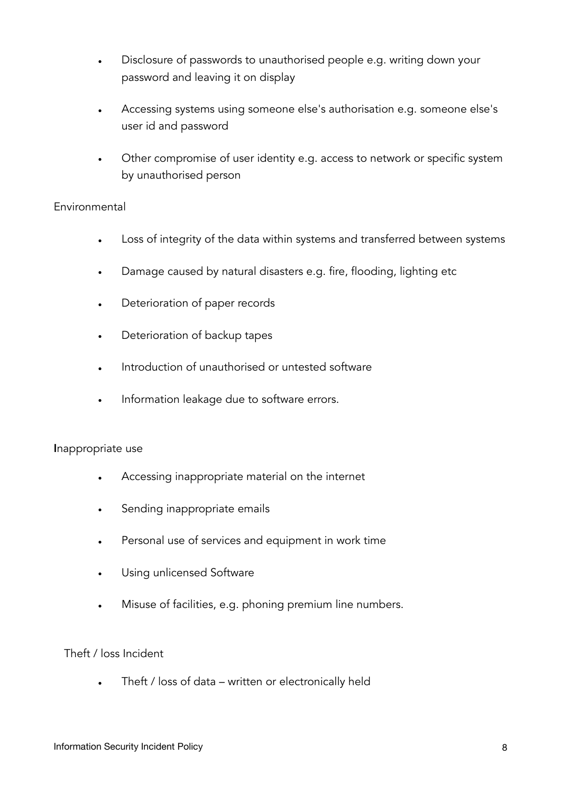- Disclosure of passwords to unauthorised people e.g. writing down your password and leaving it on display
- Accessing systems using someone else's authorisation e.g. someone else's user id and password
- Other compromise of user identity e.g. access to network or specific system by unauthorised person

#### Environmental

- Loss of integrity of the data within systems and transferred between systems
- Damage caused by natural disasters e.g. fire, flooding, lighting etc
- Deterioration of paper records
- Deterioration of backup tapes
- Introduction of unauthorised or untested software
- Information leakage due to software errors.

#### Inappropriate use

- Accessing inappropriate material on the internet
- Sending inappropriate emails
- Personal use of services and equipment in work time
- Using unlicensed Software
- Misuse of facilities, e.g. phoning premium line numbers.

#### Theft / loss Incident

• Theft / loss of data – written or electronically held